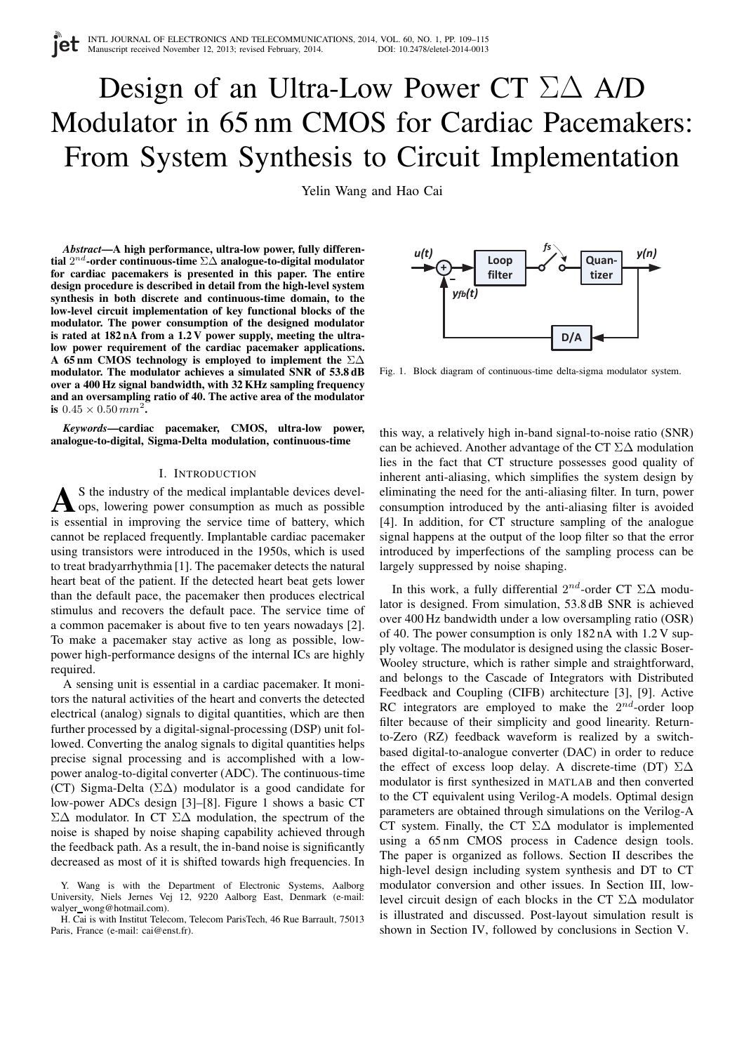# Design of an Ultra-Low Power CT Σ∆ A/D Modulator in 65 nm CMOS for Cardiac Pacemakers: From System Synthesis to Circuit Implementation

Yelin Wang and Hao Cai

*Abstract***—A high performance, ultra-low power, fully differential** 2 nd**-order continuous-time** Σ∆ **analogue-to-digital modulator for cardiac pacemakers is presented in this paper. The entire design procedure is described in detail from the high-level system synthesis in both discrete and continuous-time domain, to the low-level circuit implementation of key functional blocks of the modulator. The power consumption of the designed modulator is rated at 182 nA from a 1.2 V power supply, meeting the ultralow power requirement of the cardiac pacemaker applications. A 65 nm CMOS technology is employed to implement the** Σ∆ **modulator. The modulator achieves a simulated SNR of 53.8 dB over a 400 Hz signal bandwidth, with 32 KHz sampling frequency and an oversampling ratio of 40. The active area of the modulator is**  $0.45 \times 0.50 \, \text{mm}^2$ .

*Keywords***—cardiac pacemaker, CMOS, ultra-low power, analogue-to-digital, Sigma-Delta modulation, continuous-time**

# I. INTRODUCTION

A S the industry of the medical implantable devices developes, lowering power consumption as much as possible S the industry of the medical implantable devices develis essential in improving the service time of battery, which cannot be replaced frequently. Implantable cardiac pacemaker using transistors were introduced in the 1950s, which is used to treat bradyarrhythmia [1]. The pacemaker detects the natural heart beat of the patient. If the detected heart beat gets lower than the default pace, the pacemaker then produces electrical stimulus and recovers the default pace. The service time of a common pacemaker is about five to ten years nowadays [2]. To make a pacemaker stay active as long as possible, lowpower high-performance designs of the internal ICs are highly required.

A sensing unit is essential in a cardiac pacemaker. It monitors the natural activities of the heart and converts the detected electrical (analog) signals to digital quantities, which are then further processed by a digital-signal-processing (DSP) unit followed. Converting the analog signals to digital quantities helps precise signal processing and is accomplished with a lowpower analog-to-digital converter (ADC). The continuous-time (CT) Sigma-Delta (Σ∆) modulator is a good candidate for low-power ADCs design [3]–[8]. Figure 1 shows a basic CT Σ∆ modulator. In CT Σ∆ modulation, the spectrum of the noise is shaped by noise shaping capability achieved through the feedback path. As a result, the in-band noise is significantly decreased as most of it is shifted towards high frequencies. In



Fig. 1. Block diagram of continuous-time delta-sigma modulator system.

this way, a relatively high in-band signal-to-noise ratio (SNR) can be achieved. Another advantage of the CT  $\Sigma\Delta$  modulation lies in the fact that CT structure possesses good quality of inherent anti-aliasing, which simplifies the system design by eliminating the need for the anti-aliasing filter. In turn, power consumption introduced by the anti-aliasing filter is avoided [4]. In addition, for CT structure sampling of the analogue signal happens at the output of the loop filter so that the error introduced by imperfections of the sampling process can be largely suppressed by noise shaping.

In this work, a fully differential  $2^{nd}$ -order CT  $\Sigma\Delta$  modulator is designed. From simulation, 53.8 dB SNR is achieved over 400 Hz bandwidth under a low oversampling ratio (OSR) of 40. The power consumption is only 182 nA with 1.2 V supply voltage. The modulator is designed using the classic Boser-Wooley structure, which is rather simple and straightforward, and belongs to the Cascade of Integrators with Distributed Feedback and Coupling (CIFB) architecture [3], [9]. Active RC integrators are employed to make the  $2^{nd}$ -order loop filter because of their simplicity and good linearity. Returnto-Zero (RZ) feedback waveform is realized by a switchbased digital-to-analogue converter (DAC) in order to reduce the effect of excess loop delay. A discrete-time (DT)  $\Sigma\Delta$ modulator is first synthesized in MATLAB and then converted to the CT equivalent using Verilog-A models. Optimal design parameters are obtained through simulations on the Verilog-A CT system. Finally, the CT  $\Sigma\Delta$  modulator is implemented using a 65 nm CMOS process in Cadence design tools. The paper is organized as follows. Section II describes the high-level design including system synthesis and DT to CT modulator conversion and other issues. In Section III, lowlevel circuit design of each blocks in the CT Σ∆ modulator is illustrated and discussed. Post-layout simulation result is shown in Section IV, followed by conclusions in Section V.

Y. Wang is with the Department of Electronic Systems, Aalborg University, Niels Jernes Vej 12, 9220 Aalborg East, Denmark (e-mail: walyer\_wong@hotmail.com).

H. Cai is with Institut Telecom, Telecom ParisTech, 46 Rue Barrault, 75013 Paris, France (e-mail: cai@enst.fr).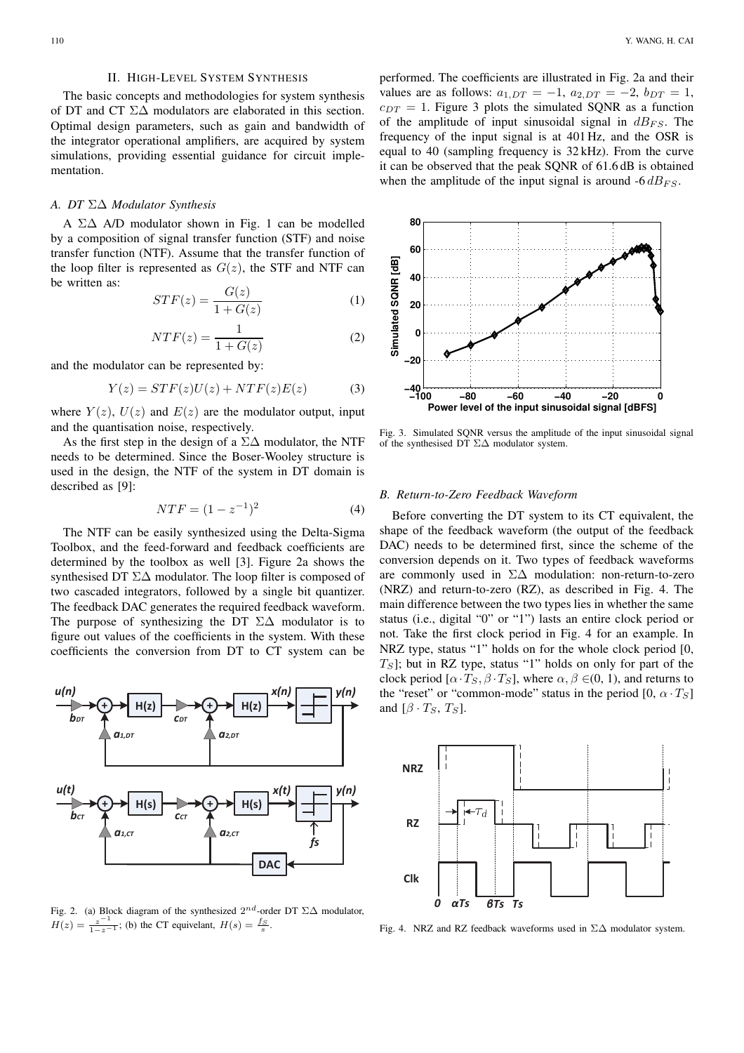## II. HIGH-LEVEL SYSTEM SYNTHESIS

The basic concepts and methodologies for system synthesis of DT and CT Σ∆ modulators are elaborated in this section. Optimal design parameters, such as gain and bandwidth of the integrator operational amplifiers, are acquired by system simulations, providing essential guidance for circuit implementation.

# *A. DT* Σ∆ *Modulator Synthesis*

A Σ∆ A/D modulator shown in Fig. 1 can be modelled by a composition of signal transfer function (STF) and noise transfer function (NTF). Assume that the transfer function of the loop filter is represented as  $G(z)$ , the STF and NTF can be written as:

$$
STF(z) = \frac{G(z)}{1 + G(z)}\tag{1}
$$

$$
NTF(z) = \frac{1}{1 + G(z)}\tag{2}
$$

and the modulator can be represented by:

$$
Y(z) = STF(z)U(z) + NTF(z)E(z)
$$
 (3)

where  $Y(z)$ ,  $U(z)$  and  $E(z)$  are the modulator output, input and the quantisation noise, respectively.

As the first step in the design of a  $\Sigma\Delta$  modulator, the NTF needs to be determined. Since the Boser-Wooley structure is used in the design, the NTF of the system in DT domain is described as [9]:

$$
NTF = (1 - z^{-1})^2
$$
 (4)

The NTF can be easily synthesized using the Delta-Sigma Toolbox, and the feed-forward and feedback coefficients are determined by the toolbox as well [3]. Figure 2a shows the synthesised DT Σ∆ modulator. The loop filter is composed of two cascaded integrators, followed by a single bit quantizer. The feedback DAC generates the required feedback waveform. The purpose of synthesizing the DT  $\Sigma\Delta$  modulator is to figure out values of the coefficients in the system. With these coefficients the conversion from DT to CT system can be



Fig. 2. (a) Block diagram of the synthesized  $2^{nd}$ -order DT  $\Sigma\Delta$  modulator,  $H(z) = \frac{z^{-1}}{1-z^{-1}}$ ; (b) the CT equivelant,  $H(s) = \frac{fs}{s}$ .

performed. The coefficients are illustrated in Fig. 2a and their values are as follows:  $a_{1,DT} = -1$ ,  $a_{2,DT} = -2$ ,  $b_{DT} = 1$ ,  $c_{DT} = 1$ . Figure 3 plots the simulated SQNR as a function of the amplitude of input sinusoidal signal in  $dB_{FS}$ . The frequency of the input signal is at 401 Hz, and the OSR is equal to 40 (sampling frequency is 32 kHz). From the curve it can be observed that the peak SQNR of 61.6 dB is obtained when the amplitude of the input signal is around  $-6 dB_{FS}$ .



Fig. 3. Simulated SQNR versus the amplitude of the input sinusoidal signal of the synthesised DT Σ∆ modulator system.

#### *B. Return-to-Zero Feedback Waveform*

Before converting the DT system to its CT equivalent, the shape of the feedback waveform (the output of the feedback DAC) needs to be determined first, since the scheme of the conversion depends on it. Two types of feedback waveforms are commonly used in Σ∆ modulation: non-return-to-zero (NRZ) and return-to-zero (RZ), as described in Fig. 4. The main difference between the two types lies in whether the same status (i.e., digital "0" or "1") lasts an entire clock period or not. Take the first clock period in Fig. 4 for an example. In NRZ type, status "1" holds on for the whole clock period [0,  $T_S$ ]; but in RZ type, status "1" holds on only for part of the clock period  $[\alpha \cdot T_S, \beta \cdot T_S]$ , where  $\alpha, \beta \in (0, 1)$ , and returns to the "reset" or "common-mode" status in the period  $[0, \alpha \cdot T_S]$ and  $[\beta \cdot T_S, T_S]$ .



Fig. 4. NRZ and RZ feedback waveforms used in Σ∆ modulator system.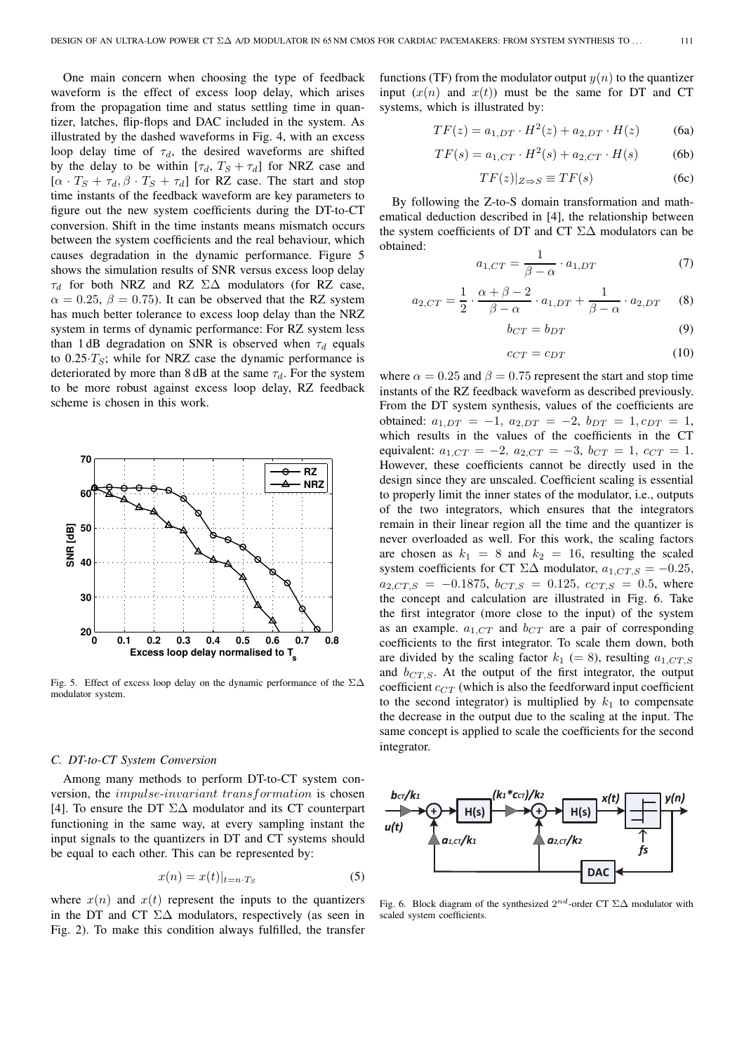One main concern when choosing the type of feedback waveform is the effect of excess loop delay, which arises from the propagation time and status settling time in quantizer, latches, flip-flops and DAC included in the system. As illustrated by the dashed waveforms in Fig. 4, with an excess loop delay time of  $\tau_d$ , the desired waveforms are shifted by the delay to be within  $[\tau_d, T_s + \tau_d]$  for NRZ case and  $[\alpha \cdot T_S + \tau_d, \beta \cdot T_S + \tau_d]$  for RZ case. The start and stop time instants of the feedback waveform are key parameters to figure out the new system coefficients during the DT-to-CT conversion. Shift in the time instants means mismatch occurs between the system coefficients and the real behaviour, which causes degradation in the dynamic performance. Figure 5 shows the simulation results of SNR versus excess loop delay  $\tau_d$  for both NRZ and RZ  $\Sigma\Delta$  modulators (for RZ case,  $\alpha = 0.25, \beta = 0.75$ . It can be observed that the RZ system has much better tolerance to excess loop delay than the NRZ system in terms of dynamic performance: For RZ system less than 1 dB degradation on SNR is observed when  $\tau_d$  equals to  $0.25 \cdot T_s$ ; while for NRZ case the dynamic performance is deteriorated by more than 8 dB at the same  $\tau_d$ . For the system to be more robust against excess loop delay, RZ feedback scheme is chosen in this work.



Fig. 5. Effect of excess loop delay on the dynamic performance of the  $\Sigma\Delta$ modulator system.

## *C. DT-to-CT System Conversion*

Among many methods to perform DT-to-CT system conversion, the impulse-invariant transformation is chosen [4]. To ensure the DT Σ∆ modulator and its CT counterpart functioning in the same way, at every sampling instant the input signals to the quantizers in DT and CT systems should be equal to each other. This can be represented by:

$$
x(n) = x(t)|_{t=n \cdot T_S} \tag{5}
$$

where  $x(n)$  and  $x(t)$  represent the inputs to the quantizers in the DT and CT  $\Sigma\Delta$  modulators, respectively (as seen in Fig. 2). To make this condition always fulfilled, the transfer

functions (TF) from the modulator output  $y(n)$  to the quantizer input  $(x(n)$  and  $x(t)$  must be the same for DT and CT systems, which is illustrated by:

$$
TF(z) = a_{1,DT} \cdot H^2(z) + a_{2,DT} \cdot H(z)
$$
 (6a)

$$
TF(s) = a_{1,CT} \cdot H^2(s) + a_{2,CT} \cdot H(s)
$$
 (6b)

$$
TF(z)|_{Z \Rightarrow S} \equiv TF(s) \tag{6c}
$$

By following the Z-to-S domain transformation and mathematical deduction described in [4], the relationship between the system coefficients of DT and CT Σ∆ modulators can be obtained:

$$
a_{1,CT} = \frac{1}{\beta - \alpha} \cdot a_{1,DT} \tag{7}
$$

$$
a_{2,CT} = \frac{1}{2} \cdot \frac{\alpha + \beta - 2}{\beta - \alpha} \cdot a_{1,DT} + \frac{1}{\beta - \alpha} \cdot a_{2,DT} \tag{8}
$$

$$
b_{CT} = b_{DT} \tag{9}
$$

$$
c_{CT} = c_{DT} \tag{10}
$$

where  $\alpha = 0.25$  and  $\beta = 0.75$  represent the start and stop time instants of the RZ feedback waveform as described previously. From the DT system synthesis, values of the coefficients are obtained:  $a_{1,DT} = -1$ ,  $a_{2,DT} = -2$ ,  $b_{DT} = 1$ ,  $c_{DT} = 1$ , which results in the values of the coefficients in the CT equivalent:  $a_{1,CT} = -2$ ,  $a_{2,CT} = -3$ ,  $b_{CT} = 1$ ,  $c_{CT} = 1$ . However, these coefficients cannot be directly used in the design since they are unscaled. Coefficient scaling is essential to properly limit the inner states of the modulator, i.e., outputs of the two integrators, which ensures that the integrators remain in their linear region all the time and the quantizer is never overloaded as well. For this work, the scaling factors are chosen as  $k_1 = 8$  and  $k_2 = 16$ , resulting the scaled system coefficients for CT  $\Sigma\Delta$  modulator,  $a_{1,CT,S} = -0.25$ ,  $a_{2,CT,S} = -0.1875, b_{CT,S} = 0.125, c_{CT,S} = 0.5$ , where the concept and calculation are illustrated in Fig. 6. Take the first integrator (more close to the input) of the system as an example.  $a_{1,CT}$  and  $b_{CT}$  are a pair of corresponding coefficients to the first integrator. To scale them down, both are divided by the scaling factor  $k_1 (= 8)$ , resulting  $a_{1,CT,S}$ and  $b_{CT,S}$ . At the output of the first integrator, the output coefficient  $c_{CT}$  (which is also the feedforward input coefficient to the second integrator) is multiplied by  $k_1$  to compensate the decrease in the output due to the scaling at the input. The same concept is applied to scale the coefficients for the second integrator.



Fig. 6. Block diagram of the synthesized  $2^{nd}$ -order CT  $\Sigma\Delta$  modulator with scaled system coefficients.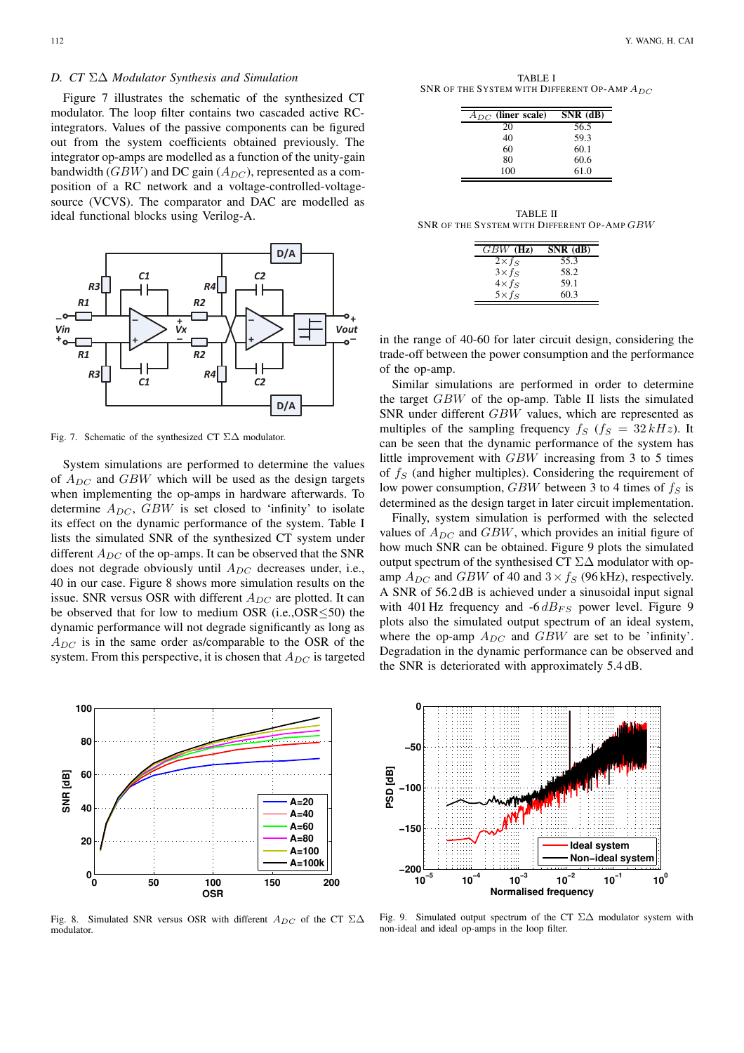Figure 7 illustrates the schematic of the synthesized CT modulator. The loop filter contains two cascaded active RCintegrators. Values of the passive components can be figured out from the system coefficients obtained previously. The integrator op-amps are modelled as a function of the unity-gain bandwidth ( $GBW$ ) and DC gain ( $A_{DC}$ ), represented as a composition of a RC network and a voltage-controlled-voltagesource (VCVS). The comparator and DAC are modelled as ideal functional blocks using Verilog-A.



Fig. 7. Schematic of the synthesized CT Σ∆ modulator.

System simulations are performed to determine the values of  $A_{DC}$  and  $GBW$  which will be used as the design targets when implementing the op-amps in hardware afterwards. To determine  $A_{DC}$ ,  $GBW$  is set closed to 'infinity' to isolate its effect on the dynamic performance of the system. Table I lists the simulated SNR of the synthesized CT system under different  $A_{DC}$  of the op-amps. It can be observed that the SNR does not degrade obviously until  $A_{DC}$  decreases under, i.e., 40 in our case. Figure 8 shows more simulation results on the issue. SNR versus OSR with different  $A_{DC}$  are plotted. It can be observed that for low to medium OSR (i.e.,OSR≤50) the dynamic performance will not degrade significantly as long as  $A_{DC}$  is in the same order as/comparable to the OSR of the system. From this perspective, it is chosen that  $A_{DC}$  is targeted



Fig. 8. Simulated SNR versus OSR with different  $A_{DC}$  of the CT  $\Sigma\Delta$ modulator.

TABLE I SNR OF THE SYSTEM WITH DIFFERENT OP-AMP  $A_{DC}$ 

| $A_{DC}$ (liner scale) | $SNR$ (dB) |
|------------------------|------------|
| 20                     | 56.5       |
| 40                     | 59.3       |
| 60                     | 60.1       |
| 80                     | 60.6       |
| 100                    | 61.0       |

TABLE II SNR OF THE SYSTEM WITH DIFFERENT OP-AMP GBW

| $GBW$ (Hz)     | SNR (dB) |
|----------------|----------|
| $2\times f_S$  | 55.3     |
| $3\times f_S$  | 58.2     |
| $4\times f_S$  | 59.1     |
| $5 \times f_S$ | 60.3     |

in the range of 40-60 for later circuit design, considering the trade-off between the power consumption and the performance of the op-amp.

Similar simulations are performed in order to determine the target GBW of the op-amp. Table II lists the simulated SNR under different GBW values, which are represented as multiples of the sampling frequency  $f_S$  ( $f_S = 32 kHz$ ). It can be seen that the dynamic performance of the system has little improvement with GBW increasing from 3 to 5 times of  $f<sub>S</sub>$  (and higher multiples). Considering the requirement of low power consumption,  $GBW$  between 3 to 4 times of  $f_S$  is determined as the design target in later circuit implementation.

Finally, system simulation is performed with the selected values of  $A_{DC}$  and  $GBW$ , which provides an initial figure of how much SNR can be obtained. Figure 9 plots the simulated output spectrum of the synthesised CT Σ∆ modulator with opamp  $A_{DC}$  and  $GBW$  of 40 and  $3 \times f_S$  (96 kHz), respectively. A SNR of 56.2 dB is achieved under a sinusoidal input signal with 401 Hz frequency and  $-6 dB_{FS}$  power level. Figure 9 plots also the simulated output spectrum of an ideal system, where the op-amp  $A_{DC}$  and  $GBW$  are set to be 'infinity'. Degradation in the dynamic performance can be observed and the SNR is deteriorated with approximately 5.4 dB.



Fig. 9. Simulated output spectrum of the CT Σ∆ modulator system with non-ideal and ideal op-amps in the loop filter.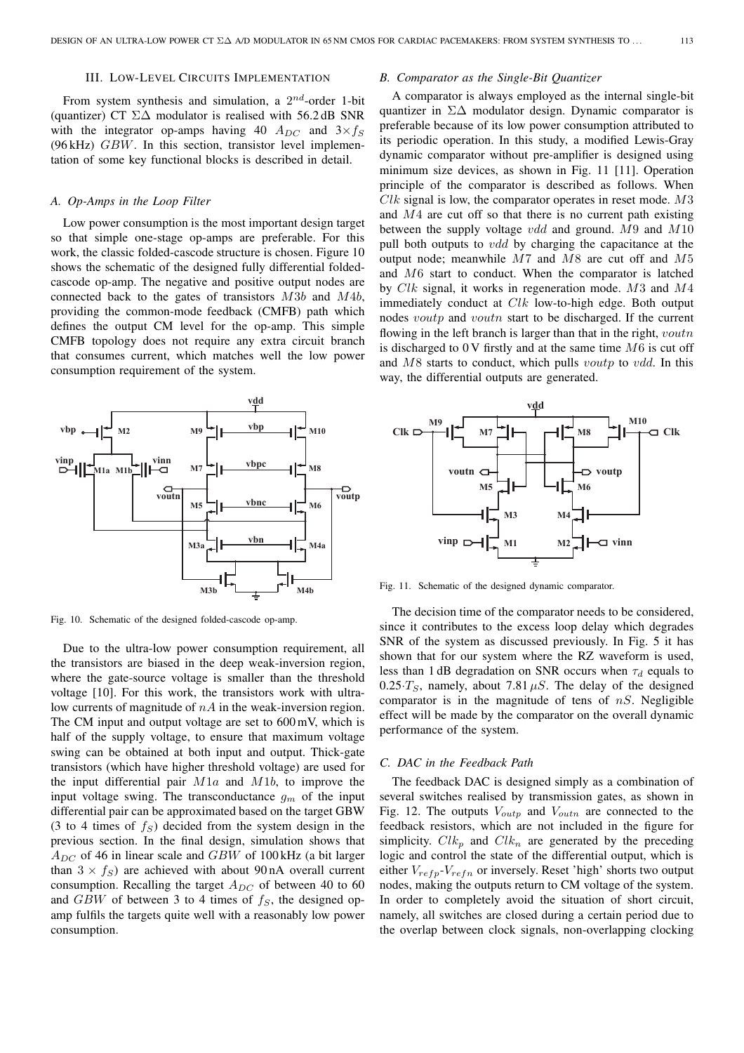# III. LOW-LEVEL CIRCUITS IMPLEMENTATION

From system synthesis and simulation, a  $2^{nd}$ -order 1-bit (quantizer) CT  $\Sigma\Delta$  modulator is realised with 56.2 dB SNR with the integrator op-amps having 40  $A_{DC}$  and  $3 \times f_S$ (96 kHz) GBW. In this section, transistor level implementation of some key functional blocks is described in detail.

# *A. Op-Amps in the Loop Filter*

Low power consumption is the most important design target so that simple one-stage op-amps are preferable. For this work, the classic folded-cascode structure is chosen. Figure 10 shows the schematic of the designed fully differential foldedcascode op-amp. The negative and positive output nodes are connected back to the gates of transistors M3b and M4b, providing the common-mode feedback (CMFB) path which defines the output CM level for the op-amp. This simple CMFB topology does not require any extra circuit branch that consumes current, which matches well the low power consumption requirement of the system.



Fig. 10. Schematic of the designed folded-cascode op-amp.

Due to the ultra-low power consumption requirement, all the transistors are biased in the deep weak-inversion region, where the gate-source voltage is smaller than the threshold voltage [10]. For this work, the transistors work with ultralow currents of magnitude of  $nA$  in the weak-inversion region. The CM input and output voltage are set to 600 mV, which is half of the supply voltage, to ensure that maximum voltage swing can be obtained at both input and output. Thick-gate transistors (which have higher threshold voltage) are used for the input differential pair  $M1a$  and  $M1b$ , to improve the input voltage swing. The transconductance  $g_m$  of the input differential pair can be approximated based on the target GBW (3 to 4 times of  $f<sub>S</sub>$ ) decided from the system design in the previous section. In the final design, simulation shows that  $A_{DC}$  of 46 in linear scale and  $GBW$  of 100 kHz (a bit larger than  $3 \times f_S$  are achieved with about 90 nA overall current consumption. Recalling the target  $A_{DC}$  of between 40 to 60 and  $GBW$  of between 3 to 4 times of  $f_S$ , the designed opamp fulfils the targets quite well with a reasonably low power consumption.

## *B. Comparator as the Single-Bit Quantizer*

A comparator is always employed as the internal single-bit quantizer in  $\Sigma\Delta$  modulator design. Dynamic comparator is preferable because of its low power consumption attributed to its periodic operation. In this study, a modified Lewis-Gray dynamic comparator without pre-amplifier is designed using minimum size devices, as shown in Fig. 11 [11]. Operation principle of the comparator is described as follows. When  $Clk$  signal is low, the comparator operates in reset mode.  $M3$ and M4 are cut off so that there is no current path existing between the supply voltage  $vdd$  and ground.  $M9$  and  $M10$ pull both outputs to *vdd* by charging the capacitance at the output node; meanwhile M7 and M8 are cut off and M5 and M6 start to conduct. When the comparator is latched by Clk signal, it works in regeneration mode. M3 and M4 immediately conduct at  $Clk$  low-to-high edge. Both output nodes *voutp* and *voutn* start to be discharged. If the current flowing in the left branch is larger than that in the right,  $vouth$ is discharged to  $0$  V firstly and at the same time  $M6$  is cut off and M8 starts to conduct, which pulls *voutp* to *vdd*. In this way, the differential outputs are generated.



Fig. 11. Schematic of the designed dynamic comparator.

The decision time of the comparator needs to be considered, since it contributes to the excess loop delay which degrades SNR of the system as discussed previously. In Fig. 5 it has shown that for our system where the RZ waveform is used, less than 1 dB degradation on SNR occurs when  $\tau_d$  equals to 0.25 $\cdot$ T<sub>S</sub>, namely, about 7.81  $\mu$ S. The delay of the designed comparator is in the magnitude of tens of  $nS$ . Negligible effect will be made by the comparator on the overall dynamic performance of the system.

#### *C. DAC in the Feedback Path*

The feedback DAC is designed simply as a combination of several switches realised by transmission gates, as shown in Fig. 12. The outputs  $V_{\text{outp}}$  and  $V_{\text{outn}}$  are connected to the feedback resistors, which are not included in the figure for simplicity.  $Clk_p$  and  $Clk_n$  are generated by the preceding logic and control the state of the differential output, which is either  $V_{refp}$ - $V_{refn}$  or inversely. Reset 'high' shorts two output nodes, making the outputs return to CM voltage of the system. In order to completely avoid the situation of short circuit, namely, all switches are closed during a certain period due to the overlap between clock signals, non-overlapping clocking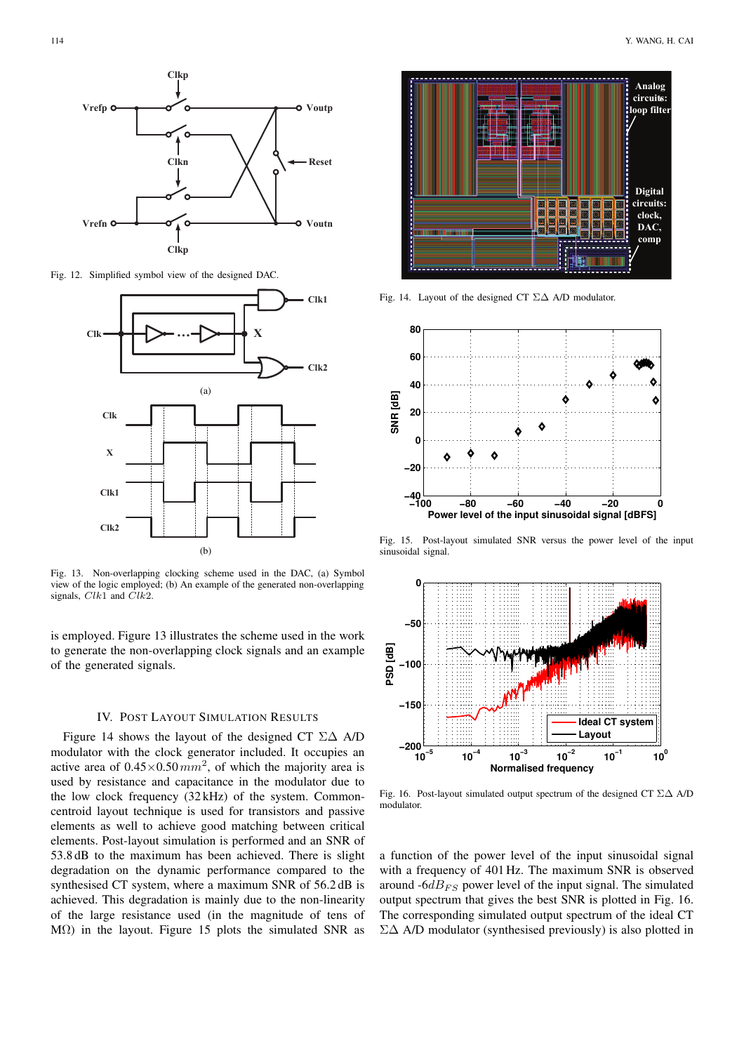

Fig. 12. Simplified symbol view of the designed DAC.



Fig. 13. Non-overlapping clocking scheme used in the DAC, (a) Symbol view of the logic employed; (b) An example of the generated non-overlapping signals,  $Clk1$  and  $\tilde{Cl}k2$ .

is employed. Figure 13 illustrates the scheme used in the work to generate the non-overlapping clock signals and an example of the generated signals.

# IV. POST LAYOUT SIMULATION RESULTS

Figure 14 shows the layout of the designed CT  $\Sigma\Delta$  A/D modulator with the clock generator included. It occupies an active area of  $0.45 \times 0.50$  mm<sup>2</sup>, of which the majority area is used by resistance and capacitance in the modulator due to the low clock frequency (32 kHz) of the system. Commoncentroid layout technique is used for transistors and passive elements as well to achieve good matching between critical elements. Post-layout simulation is performed and an SNR of 53.8 dB to the maximum has been achieved. There is slight degradation on the dynamic performance compared to the synthesised CT system, where a maximum SNR of 56.2 dB is achieved. This degradation is mainly due to the non-linearity of the large resistance used (in the magnitude of tens of MΩ) in the layout. Figure 15 plots the simulated SNR as



Fig. 14. Layout of the designed CT  $\Sigma\Delta$  A/D modulator.



Fig. 15. Post-layout simulated SNR versus the power level of the input sinusoidal signal.



Fig. 16. Post-layout simulated output spectrum of the designed CT Σ∆ A/D modulator.

a function of the power level of the input sinusoidal signal with a frequency of 401 Hz. The maximum SNR is observed around  $-6dB_{FS}$  power level of the input signal. The simulated output spectrum that gives the best SNR is plotted in Fig. 16. The corresponding simulated output spectrum of the ideal CT Σ∆ A/D modulator (synthesised previously) is also plotted in